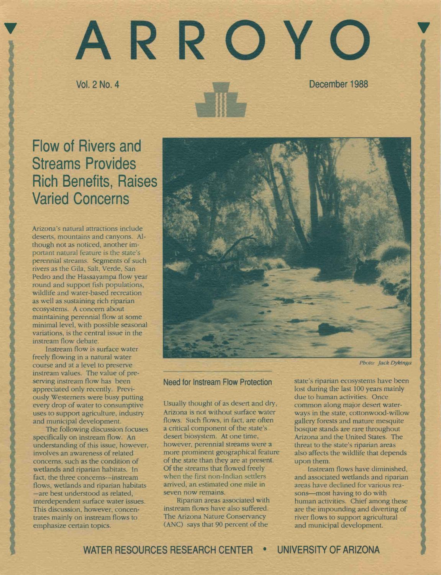# ARROYO <sup>V</sup> Vol. 2 No. 4 December 1988

# Flow of Rivers and Streams Provides Rich Benefits, Raises Varied Concerns

Arizona's natural attractions include deserts, mountains and canyons. Although not as noticed, another important natural feature is the state's perennial streams. Segments of such rivers as the Gila, Salt, Verde, San Pedro and the Hassayampa flow year round and support fish populations, wildlife and water-based recreation as well as sustaining rich riparian ecosystems. A concern about maintaining perennial flow at some minimal level, with possible seasonal variations, is the central issue in the instream flow debate.

Instream flow is surface water freely flowing in a natural water course and at a level to preserve instream values. The value of preserving instream flow has been appreciated only recently. Previously Westerners were busy putting every drop of water to consumptive uses to support agriculture, industry and municipal development.

The following discussion focuses specifically on instream flow. An understanding of this issue, however, involves an awareness of related concerns, such as the condition of wetlands and riparian habitats. In fact, the three concerns--instream flows, wetlands and riparian habitats -are best understood as related, interdependent surface water issues. This discussion, however, concentrates mainly on instream flows to emphasize certain topics.



Photo: Jack Dykinga

# Need for Instream Flow Protection

Usually thought of as desert and dry, Arizona is not without surface water flows. Such flows, in fact, are often a critical component of the state's desert biosystem. At one time, however, perennial streams were a more prominent geographical feature of the state than they are at present. of the streams that flowed freely when the first non-Indian settlers arrived, an estimated one mile in seven now remains.

Riparian areas associated with instream flows have also suffered. The Arizona Nature Conservancy (ANC) says that 90 percent of the

state's riparian ecosystems have been lost during the last 100 years mainly due to human activities. Once common along major desert waterways in the state, cottonwood-willow gallery forests and mature mesquite bosque stands are rare throughout Arizona and the United States. The threat to the state's riparian areas also affects the wildlife that depends upon them.

Instream flows have diminished, and associated wetlands and riparian areas have declined for various reasons-most having to do with human activities. Chief among these are the impounding and diverting of river flows to support agricultural and municipal development.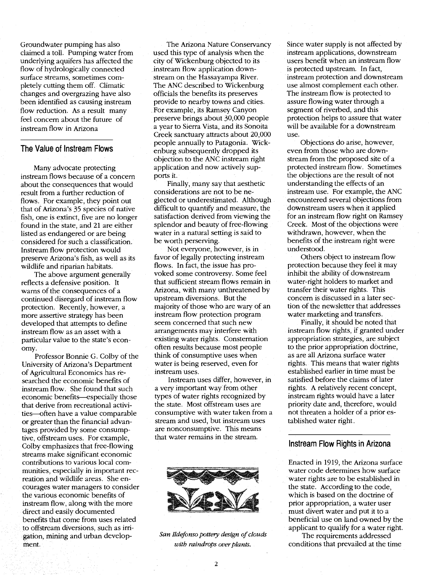Groundwater pumping has also claimed a toll. Pumping water from underlying aquifers has affected the flow of hydrologically connected surface streams, sometimes completely cutting them off. Climatic changes and overgrazing have also been identified as causing instream flow reduction. As a result many feel concern about the future of instream flow in Arizona

#### The Value of Instream Flows

Many advocate protecting instream flows because of a concern about the consequences that would result from a further reduction of flows. For example, they point out that of Arizona's 35 species of native fish, one is extinct, five are no longer found in the state, and 21 are either listed as endangered or are being considered for such a classification. Instream flow protection would preserve Arizona's fish, as well as its wildlife and riparian habitats.

The above argument generally reflects a defensive position. It warns of the consequences of a continued disregard of instream flow protection. Recently, however, a more assertive strategy has been developed that attempts to define instream flow as an asset with a particular value to the state's economy.

Professor Bonnie G. Colby of the University of Arizona's Department of Agricultural Economics has researched the economic benefits of instream flow. She found that such economic benefits-especially those that derive from recreational activities-often have a value comparable or greater than the financial advantages provided by some consumptive, offstream uses. For example, Colby emphasizes that free-flowing streams make significant economic contributions to various local communities, especially in important recreation and wildlife areas. She encourages water managers to consider the various economic benefits of instream flow, along with the more direct and easily documented benefits that come from uses related to offstream diversions, such as irrigation, mining and urban development.

The Arizona Nature Conservancy used this type of analysis when the city of Wickenburg objected to its instream flow application downstream on the Hassayampa River. The ANC described to Wickenburg officials the benefits its preserves provide to nearby towns and cities. For example, its Ramsey Canyon preserve brings about 30,000 people a year to Sierra Vista, and its Sonoita Creek sanctuary attracts about 20,000 people annually to Patagonia. Wickenburg subsequently dropped its objection to the ANC instream right application and now actively supports it.

Finally, many say that aesthetic considerations are not to be neglected or underestimated. Although difficult to quantify and measure, the satisfaction derived from viewing the splendor and beauty of free-flowing water in a natural setting is said to be worth perserving.

Not everyone, however, is in favor of legally protecting instream flows. In fact, the issue has provoked some controversy. Some feel that sufficient stream flows remain in Arizona, with many unthreatened by upstream diversions. But the majority of those who are wary of an instream flow protection program seem concerned that such new arrangements may interfere with existing water rights. Consternation often results because most people think of consumptive uses when water is being reserved, even for instream uses.

Instream uses differ, however, in a very important way from other types of water rights recognized by the state. Most offstream uses are consumptive with water taken from a stream and used, but instream uses are nonconsumptive. This means that water remains in the stream.



San Ildefonso pottery design of clouds with raindrops over plants.

Since water supply is not affected by instream applications, downstream users benefit when an instream flow is protected upstream. In fact, nstream protection and downstream use almost complement each other. The instream flow is protected to assure flowing water through a segment of riverbed, and this protection helps to assure that water will be available for a downstream use.

Objections do arise, however, even from those who are downstream from the proposed site of a protected instrearn flow. Sometimes the objections are the result of not understanding the effects of an instream use. For example, the ANC encountered several objections from downstream users when it applied for an instream flow right on Ramsey Creek. Most of the objections were withdrawn, however, when the benefits of the instream right were understood.

Others object to instream flow protection because they feel it may inhibit the ability of downstream water-right holders to market and transfer their water rights. This concern is discussed in a later section of the newsletter that addresses water marketing and transfers.

Finally, it should be noted that instream flow rights, if granted under appropriation strategies, are subject to the prior appropriation dóctrine, as are all Arizona surface water rights. This means that water rights established earlier in time must be satisfied before the claims of later rights. A relatively recent concept, instream rights would have a later priority date and, therefore, would not threaten a holder of a prior established water right.

#### Instream Flow Rights in Arizona

Enacted in 1919, the Arizona surface water code determines how surface water rights are to be established in the state. According to the code, which is based on the doctrine of prior appropriation, a water user must divert water and put it to a beneficial use on land owned by the applicant to qualify for a water right.

The requirements addressed conditions that prevailed at the time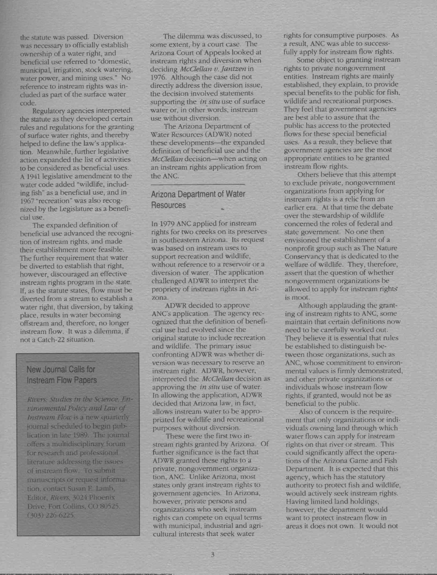the statute was passed. Diversion was necessary to officially establish ownership of a water right, and beneficial use referred to "domestic, municipal, irrigation, stock watering, water power, and mining uses." No reference to instream rights was included as part of the surface water code.

Regulatory agencies interpreted the statute as they developed certain rules and regulations for the granting of surface water rights, and thereby helped to define the law's application. Meanwhile, further legislative action expanded the list of activities to be considered as beneficial uses. A 1941 legislative amendment to the water code added "wildlife, including fish" as a beneficial use, and in 1967 "recreation" was also recognized by the Legislature as a beneficial use.

The expanded definition of beneficial use advanced the recognition of instream rights, and made their establishment more feasible. The further requirement that water be diverted to establish that right, however, discouraged an effective instream rights program in the state. If, as the statute states, flow must be diverted from a stream to establish a water right, that diversion, by taking place, results in water becoming offstream and, therefore, no longer instream flow. It was a dilemma, if not a Catch-22 situation.

# New Journal Calls for Instream Flow Papers

Rivers: Studies in the Science, Environmental Policy and Lau of Jnstream Flou is a new quarterly journal scheduled to begin publication in late 1989. The journal offers a multidisciplinary forum for research and professional literature addressing the issues of instream flow. To submit manuscripts or request information, contact Susan E. Lamb, Editor, Rivers, 3024 Phoenix Drive, Fort Collins, CO 80525. (303) 226-6225.

The dilemma was discussed, to some extent, by a court case. The Arizona Court of Appeals looked at instream rights and diversion when deciding McClellan v. Jantzen in 1976. Although the case did not directly address the diversion issue, the decision involved statements supporting the *in situ* use of surface water or, in other words, instream use without diversion.

The Arizona Department of Water Resources (ADWR) noted these developments-the expanded definition of beneficial use and the McClellan decision-when acting on an instream rights application from the ANC.

# Arizona Department of Water **Resources**

In 1979 ANC applied for instream rights for two creeks on its preserves in southeastern Arizona. Its request was based on instream uses to support recreation and wildlife, without reference to a reservoir or a diversion of water. The application challenged ADWR to interpret the propriety of instream rights in Arizona.

ADWR decided to approve ANC's application. The agency recognized that the definition of beneficial use had evolved since the original statute to include recreation and wildlife. The primary issue confronting ADWR was whether diversion was necessary to reserve an instream right. ADWR, however, interpreted the McClellan decision as approving the in situ use of water. In allowing the application, ADWR decided that Arizona law, in fact, allows instream water to be appropriated for wildlife and recreational purposes without diversion.

These were the first two instream rights granted by Arizona. Of further significance is the fact that ADWR granted these rights to a private, nongovernment organization, ANC. Unlike Arizona, most states only grant instream rights to government agencies. In Arizona, however, private persons and organizations who seek instream rights can compete on equal terms with municipal, industrial and agricultural interests that seek water

rights for consumptive purposes. As a result, ANC was able to successfully apply for instream flow rights.

Some object to granting instream rights to private nongovernment entities. Instream rights are mainly established, they explain, to provide special benefits to the public for fish, wildlife and recreational purposes. They feel that government agencies are best able to assure that the public has access to the protected flows for these special beneficial uses. As a result, they believe that government agencies are the most appropriate entities to be granted instream flow rights.

Others believe that this attempt to exclude private, nongovernment organizations from applying for instream rights is a relic from an earlier era. At that time the debate over the stewardship of wildlife concerned the roles of federal and state government. No one then envisioned the establishment of a nonprofit group such as The Nature Conservancy that is dedicated to the welfare of wildlife. They, therefore, assert that the question of whether nongovernment organizations he allowed to apply for instream rights is moot.

Although applauding the granting of instream rights to ANC, some maintain that certain definitions now need to he carefully worked out. They believe it is essential that rules be established to distinguish hetween those organizations, such as ANC, whose commitment to environmental values is firmly demonstrated, and other private organizations or individuals whose instream flow rights, if granted, would not be as beneficial to the public.

Also of concern is the requirement that only organizations or individuals owning land through which water flows can apply for instream rights on that river or stream. This could significantly affect the operations of the Arizona Game and Fish Department. It is expected that this agency, which has the statutory authority to protect fish and wildlife, would actively seek instream rights. Having limited land holdings, however, the department would want to protect instream flow in areas it does not own. It would not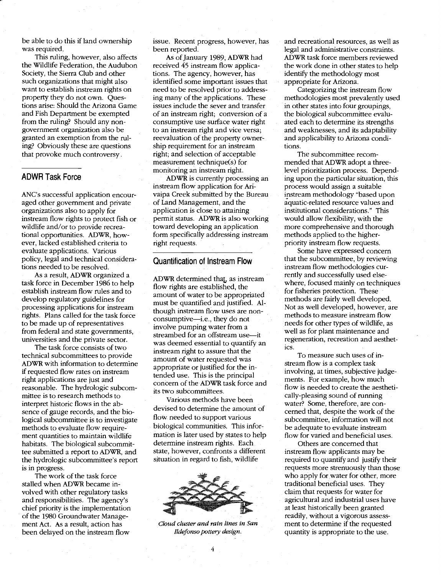be able to do this if land ownership was required.

This ruling, however, also affects the Wildlife Federation, the Audubon Society, the Sierra Club and other such organizations that might also want to establish instream rights on property they do not own. Questions arise: Should the Arizona Game and Fish Department be exempted from the ruling? Should any nongovernment organization also be granted an exemption from the ruling? Obviously these are questions that provoke much controversy.

## ADWR Task Force

ANC's successful application encouraged other government and private organizations also to apply for instream flow rights to protect fish or wildlife and/or to provide recreational opportunities. ADWR, however, lacked established criteria to evaluate applications. Various policy, legal and technical considerations needed to be resolved.

As a result, ADWR organized a task force in December 1986 to help establish instream flow rules and to develop regulatory guidelines for processing applications for instream rights. Plans called for the task force to be made up of representatives from federal and state governments, universities and the private sector.

The task force consists of two technical subcommittees to provide ADWR with information to determine if requested flow rates on instream right applications are just and reasonable. The hydrologic subcommittee is to research methods to interpret historic flows in the absence of gauge records, and the biological subcommittee is to investigate methods to evaluate flow requirement quantities to maintain wildlife habitats. The biological subcommittee submitted a report to ADWR, and the hydrologic subcommittee's report is in progress.

The work of the task force stalled when ADWR became involved with other regulatory tasks and responsibilities. The agency's chief priority is the implementation of the 1980 Groundwater Management Act. As a result, action has been delayed on the instream flow

issue. Recent progress, however, has been reported.

As of January 1989, ADWR had received 45 instream flow applications. The agency, however, has identified some important issues that need to be resolved prior to addressing many of the applications. These issues include the sever and transfer of an instream right; conversion of a consumptive use surface water right to an instream right and vice versa; reevaluation of the property ownership requirement for an instream right; and selection of acceptable measurement technique(s) for monitoring an instream right.

ADWR is currently processing an instream flow application for Arivaipa Creek submitted by the Bureau of Land Management, and the application is close to attaining permit status. ADWR is also working toward developing an application form specifically addressing instream right requests.

## Quantification of Instream Flow

ADWR determined that, as instream flow rights are established, the amount of water to be appropriated must be quantified and justified. Although instream flow uses are nonconsumptive—i.e., they do not involve pumping water from a streambed for an offstream use-it was deemed essential to quantify an instream right to assure that the amount of water requested was appropriate or justified for the intended use. This is the principal concern of the ADWR task force and its two subcommittees.

Various methods have been devised to determine the amount of flow needed to support various biological communities. This information is later used by states to help determine instream rights. Each state, however, confronts a different situation in regard to fish, wildlife



Cloud cluster and rain lines in San Ildefonso pottery design.

and recreational resources, as well as legal and administrative constraints. ADWR task force members reviewed the work done in other states to help identify the methodology most appropriate for Arizona.

Categorizing the instream flow methodologies most prevalently used in other states into four groupings, the biological subcommittee evaluated each to determine its strengths and weaknesses, and its adaptability and applicability to Arizona conditions.

The subcommittee recommended that ADWR adopt a threelevel prioritization process. Depending upon the particular situation, this process would assign a suitable instream methodology "based upon aquatic-related resource values and institutional considerations." This would allow flexibility, with the more comprehensive and thorough methods applied to the higherpriority instream flow requests.

Some have expressed concern that the subcommittee, by reviewing instream flow methodologies currently and successfully used elsewhere, focused mainly on techniques for fisheries protection. These methods are fairly well developed. Not as well developed, however, are methods to measure instream flow needs for other types of wildlife, as well as for plant maintenance and regeneration, recreation and aesthetics.

To measure such uses of instream flow is a complex task involving, at times, subjective judgements. For example, how much flow is needed to create the aesthetically-pleasing sound of running water? Some, therefore, are concerned that, despite the work of the subcommittee, information will not be adequate to evaluate instream flow for varied and beneficial uses.

Others are concerned that instream flow applicants may be required to quantify and justify their requests more strenuously than those who apply for water for other, more traditional beneficial uses. They claim that requests for water for agricultural and industrial uses have at least historically been granted readily, without a vigorous assessment to determine if the requested quantity is appropriate to the use.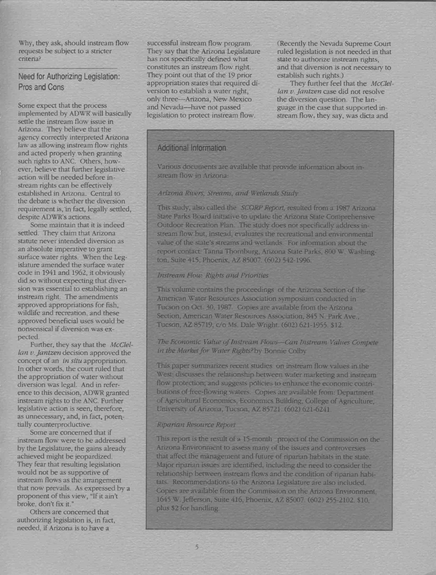Why, they ask, should instream flow requests be subject to a stricter criteria?

Need for Authorizing Legislation: Pros and Cons

Some expect that the process implemented by ADWR' will basically settle the instream flow issue in Arizona. They believe that the agency correctly interpreted Arizona law as allowing instream flow rights and acted properly when granting such rights to ANC. Others, however, believe that further legislative action will be needed before instream rights can be effectively established in Arizona. Central to the debate is whether the diversion requirement is, in fact, legally settled, despite ADWR's actions.

Some maintain that it is indeed settled. They claim that Arizona statute never intended diversion as an absolute imperative to grant surface water rights. When the Legislature amended the surface water code in 1941 and 1962, it obviously did so without expecting that diversion was essential to establishing an instream right. The amendments approved appropriations for fish, wildlife and recreation, and these approved beneficial uses would be nonsensical if diversion was expected.

Further, they say that the McClellan v. Jantzen decision approved the concept of an in situ appropriation. In other words, the court ruled that the appropriation of water without diversion was legal. And in reference to this decision, ADWR granted instream rights to the ANC. Further legislative action is seen, therefore, as unnecessary, and, in fact, potentially counterproductive.

Some are concerned that if instream flow were to be addressed by the Legislature, the gains already achieved might be jeopardized. They fear that resulting legislation would not be as supportive of instream flows as the arrangement that now prevails. As expressed by a proponent of this view, "If it ain't broke, don't fix it."

Others are concerned that authorizing legislation is, in fact, needed, if Arizona is to have a

successful instream flow program. They say that the Arizona Legislature has not specifically defined what constitutes an instream flow right. They point out that of the 19 prior appropriation states that required diversion to establish a water right, only three-Arizona, New Mexico and Nevada-have not passed legislation to protect instream flow.

(Recently the Nevada Supreme Court ruled legislation is not needed in that state to authorize instream rights, and that diversion is not necessary to establish such rights.)

They further feel that the McClellan v. Jantzen case did not resolve the diversion question. The language in the case that supported instream flow, they say, was dicta and

# Additional Information

Various documents are available that provide information about instream flow in Arizona:

#### Arizona Rivers, Streams, and Wetlands Study

This study, also called the SCORP Report, resulted from a 1987 Arizona State Parks Board initiative to update the Arizona State Comprehensive Outdoor Recreation Plan. The study does not specifically address instream flow but, instead, evaluates the recreational and environmental value of the state's streams and wetlands. For information about the report contact: Tanna Thornburg, Arizona State Parks, 800 W. Washington, Suite 415, Phoenix, AL 85007. (602) 542-1996.

#### Instream Flow: Rights and Priorities

This volume contains the proceedings of the Arizona Section of the American Water Resources Association symposium conducted in Tucson on Oct. 30, 1987. Copies are available from the Arizona Section, American Water Resources Association, 845 N. Park Ave., Tucson, AZ 85719, c/o Ms. Dale Wright. (602) 621-1955. \$12.

#### The Economic Value of Instream Flows-Can Instream Values Compete in the Market for Water Rights? by Bonnie Colby

This paper summarizes recent studies on instream flow values in the West; discusses the relationship between water marketing and instream flow protection; and suggests policies to enhance the economic contributions of free-flowing waters. Copies are available from: Department of Agricultural Economics, Economics Building, College of Agriculture, University of Arizona. Tucson, AZ 85721. (602) 621-6241.

#### Riparian Resource Report

This report is the result of a 15-month project of the Commission on the Arizona Environment to assess many of the issues and controversies that affect the management and future of riparian habitats in the state. Major riparian issues are identified, including the need to consider the relationship between instream flows and the condition of riparian habitats. Recommendations to the Arizona Legislature are also included. Copies are available from the Commission on the Arizona Environment, 1645 W. Jefferson, Suite 416, Phoenix, AZ 85007. (602) 255-2102. \$10, plus \$2 for handling.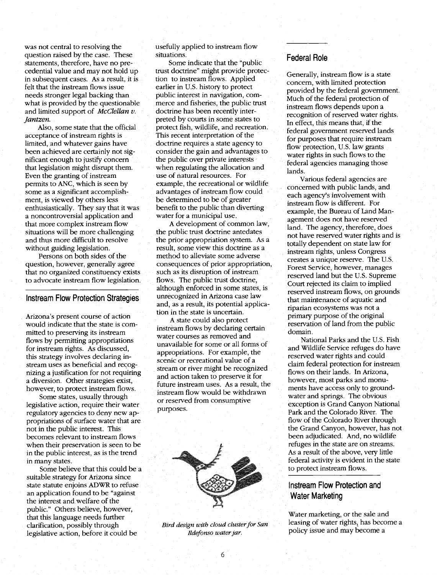was not central to resolving the question raised by the case. These statements, therefore, have no precedential value and may not hold up in subsequent cases. As a result, it is felt that the instream flows issue needs stronger legal backing than what is provided by the questionable and limited support of *McClellan*  $v$ . Jantzen.

Also, some state that the official acceptance of instream rights is limited, and whatever gains have been achieved are certainly not significant enough to justify concern that legislation might disrupt them. Even the granting of instream permits to ANC, which is seen by some as a significant accomplishment, is viewed by others less enthusiastically. They say that it was a noncontroversial application and that more complex instream flow situations will be more challenging and thus more difficult to resolve without guiding legislation.

Persons on both sides of the question, however, generally agree that no organized constituency exists to advocate instream flow legislation.

#### Instream Flow Protection Strategies

Arizona's present course of action would indicate that the state is committed to preserving its instream flows by permitting appropriations for instream rights. As discussed, this strategy involves declaring instream uses as beneficial and recognizing a justification for not requiring a diversion. Other strategies exist, however, to protect instream flows.

Some states, usually through legislative action, require their water regulatory agencies to deny new appropriations of surface water that are not in the public interest. This becomes relevant to instream flows when their preservation is seen to be in the public interest, as is the trend in many states.

Some believe that this could be a suitable strategy for Arizona since state statute enjoins ADWR to refuse an application found to be "against the interest and welfare of the public." Others believe, however, that this language needs further clarification, possibly through legislative action, before it could be

usefully applied to instream flow situations.

Some indicate that the "public trust doctrine" might provide protection to instream flows. Applied earlier in U.S. history to protect public interest in navigation, commerce and fisheries, the public trust doctrine has been recently interpreted by courts in some states to protect fish, wildlife, and recreation. This recent interpretation of the doctrine requires a state agency to consider the gain and advantages to the public over private interests when regulating the allocation and use of natural resources. For example, the recreational or wildlife advantages of instream flow could be determined to be of greater benefit to the public than diverting water for a municipal use.

A development of common law, the public trust doctrine antedates the prior appropriation system. As a result, some view this doctrine as a method to alleviate some adverse consequences of prior appropriation, such as its disruption of instream flows. The public trust doctrine, although enforced in some states, is unrecognized in Arizona case law and, as a result, its potential application in the state is uncertain.

A state could also protect instréam flows by declaring certain water courses as removed and unavailable for some or all forms of appropriations. For example, the scenic or recreational value of a stream or river might be recognized and action taken to preserve it for future instream uses. As a result, the instream flow would be withdrawn or reserved from consumptive purposes.



Bird design with cloud cluster for San Ildefonso water jar.

# Federal Role

Generally, instream flow is a state concern, with limited protection provided by the federal govemment. Much of the federal protection of instream flows depends upon a recognition of reserved water rights. In effect, this means that, if the federal government reserved lands for purposes that require instream flow protection, U.S. law grants water rights in such flows to the federal agencies managing those lands.

Various federal agencies are concemed with public lands, and each agency's involvement with instream flow is different. For example, the Bureau of Land Management does not have reserved land. The agency, therefore, does not have reserved water rights and is totally dependent on state law for instream rights, unless Congress creates a unique reserve. The U.S. Forest Service, however, manages reserved land but the U.S. Supreme Court rejected its claim to implied reserved instream flows, on grounds that maintenance of aquatic and riparian ecosystems was not a primary purpose of the original reservation of land from the public domain.

National Parks and the U.S. Fish and Wildlife Service refuges do have reserved water rights and could claim federal protection for instream flows on their lands. In Arizona, however, most parks and monuments have access only to groundwater and springs. The obvious exception is Grand Canyon National Park and the Colorado River, The flow of the Colorado River through the Grand Canyon, however, has not been adjudicated. And, no wildlife refuges in the state are on streams. As a result of the above, very little federal activity is evident in the state to protect instream flows.

# Instream Flow Protection and Water Marketing

Water marketing, or the sale and leasing of water rights; has become a policy issue and may become a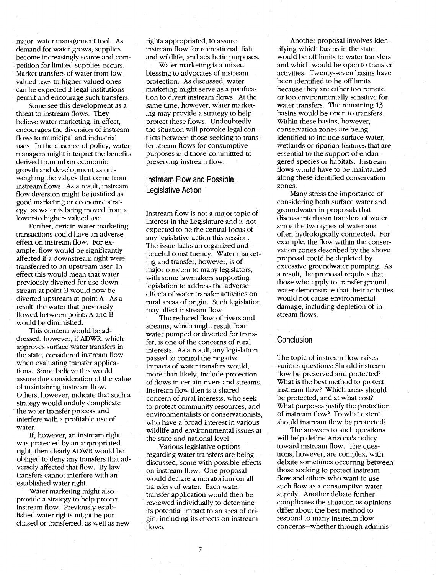major water management tool. As demand for water grows, supplies become increasingly scarce and competition for limited supplies occurs. Market transfers of water from lowvalued uses to higher-valued ones can be expected if legal institutions permit and encourage such transfers.

Some see this development as a threat to instream flows. They believe water marketing, in effect, encourages the diversion of instream flows to municipal and industrial uses. In the absence of policy, water managers might interpret the benefits derived from urban economic growth and development as outweighing the values that come from instream flows. As a result, instream flow diversion might be justified as good marketing or economic strategy, as water is being moved from a lower-to higher- valued use.

Further, certain water marketing transactions could have an adverse effect on instream flow. For example, flow would be significantly affected if a downstream right were transferred to an upstream user. In effect this would mean that water previously diverted for use downstream at point B would now be diverted upstream at point A. As a result, the water that previously flowed between points A and B would be diminished.

This concern would be addressed, however, if ADWR, which approves surface water transfers in the state, considered instream flow when evaluating transfer applications. Some believe this would assure due consideration of the value of maintaining instream flow. Others, however, indicate that such a strategy would unduly complicate the water transfer process and interfere with a profitable use of water.

If, however, an instream right was protected by an appropriated right, then clearly ADWR would be obliged to deny any transfers that adversely affected that flow. By law transfers cannot interfere with an established water right.

Water marketing might also provide a strategy to help protect instream flow. Previously established water rights might be purchased or transferred, as well as new

rights appropriated, to assure instream flow for recreational, fish and wildlife, and aesthetic purposes.

Water marketing is a mixed blessing to advocates of instream protection. As discussed, water marketing might serve as a justification to divert instream flows. At the same time, however, water marketing may provide a strategy to help protect these flows. Undoubtedly the situation will provoke legal conflicts between those seeking to transfer stream flows for consumptive purposes and those committted to preserving instream flow.

# Instream Flow and Possible Legislative Action

Instream flow is not a major topic of interest in the Legislature and is not expected to be the central focus of any legislative action this session. The issue lacks an organized and forceful constituency. Water marketing and transfer, however, is of major concern to many legislators, with some lawmakers supporting legislation to address the adverse effects of water transfer activities on rural areas of origin. Such legislation may affect instream flow.

The reduced flow of rivers and streams, which might result from water pumped or diverted for transfer, is one of the concerns of rural interests. As a result, any legislation passed to control the negative impacts of water transfers would, more than likely, include protection of flows in certain rivers and streams. Instream flow then is a shared concern of rural interests, who seek to protect community resources, and environmentalists or conservationists, who have a broad interest in various wildlife and environnmental issues at the state and national level.

Various legislative options regarding water transfers are being discussed, some with possible effects on instream flow. One proposal wöuld declare a moratorium on all transfers of water. Each water transfer application would then be reviewed individually to determine its potential impact to an area of origin, including its effects on instream flows.

Another proposal involves identifying which basins in the state would be off limits to water transfers and which would be open to transfer activities. Twenty-seven basins have been identified to be off limits because they are either too remote or too environmentally sensitive for water transfers. The remaining 13 basins would be open to transfers. Within these basins, however, conservation zones are being identified to include surface water, wetlands or riparian features that are essential to the support of endangered species or habitats. Instream flows would have to be maintained along these identified conservation zones.

Many stress the importance of considering both surface water and groundwater in proposals that discuss interbasin transfers of water since the two types of water are often hydrologically connected. For example, the flow within the conservation zones described by the above proposal could be depleted by excessive groundwater pumping. As a result, the proposal requires that those who apply to transfer groundwater demonstrate that their activities would not cause environmental damage, including depletion of instream flows.

#### **Conclusion**

The topic of instream flow raises various questions: Should instream flow be preserved and protected? What is the best method to protect instream flow? Which areas should be protected, and at what cost? What purposes justify the protection of instream flow? To what extent should instream flow be protected?

The answers to such questions will help define Arizona's policy toward instream flow. The questions, however, are complex, with debate sometimes occurring between those seeking to protect instream flow and others who want to use such flow as a consumptive water supply. Another debate further complicates the situation as opinions differ about the best method to respond to many instream flow concerns--whether through adminis